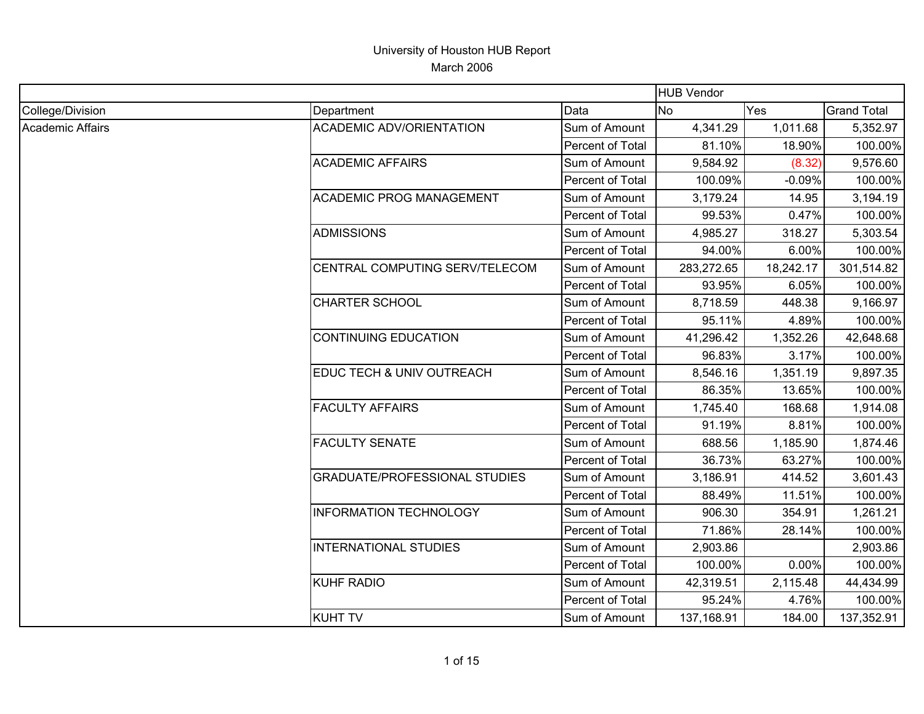| <b>HUB Vendor</b> |                                      |                  |            |           |                    |
|-------------------|--------------------------------------|------------------|------------|-----------|--------------------|
| College/Division  | Department                           | Data             | <b>No</b>  | Yes       | <b>Grand Total</b> |
| Academic Affairs  | <b>ACADEMIC ADV/ORIENTATION</b>      | Sum of Amount    | 4,341.29   | 1,011.68  | 5,352.97           |
|                   |                                      | Percent of Total | 81.10%     | 18.90%    | 100.00%            |
|                   | <b>ACADEMIC AFFAIRS</b>              | Sum of Amount    | 9,584.92   | (8.32)    | 9,576.60           |
|                   |                                      | Percent of Total | 100.09%    | $-0.09%$  | 100.00%            |
|                   | <b>ACADEMIC PROG MANAGEMENT</b>      | Sum of Amount    | 3,179.24   | 14.95     | 3,194.19           |
|                   |                                      | Percent of Total | 99.53%     | 0.47%     | 100.00%            |
|                   | <b>ADMISSIONS</b>                    | Sum of Amount    | 4,985.27   | 318.27    | 5,303.54           |
|                   |                                      | Percent of Total | 94.00%     | 6.00%     | 100.00%            |
|                   | CENTRAL COMPUTING SERV/TELECOM       | Sum of Amount    | 283,272.65 | 18,242.17 | 301,514.82         |
|                   |                                      | Percent of Total | 93.95%     | 6.05%     | 100.00%            |
|                   | <b>CHARTER SCHOOL</b>                | Sum of Amount    | 8,718.59   | 448.38    | 9,166.97           |
|                   |                                      | Percent of Total | 95.11%     | 4.89%     | 100.00%            |
|                   | <b>CONTINUING EDUCATION</b>          | Sum of Amount    | 41,296.42  | 1,352.26  | 42,648.68          |
|                   |                                      | Percent of Total | 96.83%     | 3.17%     | 100.00%            |
|                   | EDUC TECH & UNIV OUTREACH            | Sum of Amount    | 8,546.16   | 1,351.19  | 9,897.35           |
|                   |                                      | Percent of Total | 86.35%     | 13.65%    | 100.00%            |
|                   | <b>FACULTY AFFAIRS</b>               | Sum of Amount    | 1,745.40   | 168.68    | 1,914.08           |
|                   |                                      | Percent of Total | 91.19%     | 8.81%     | 100.00%            |
|                   | <b>FACULTY SENATE</b>                | Sum of Amount    | 688.56     | 1,185.90  | 1,874.46           |
|                   |                                      | Percent of Total | 36.73%     | 63.27%    | 100.00%            |
|                   | <b>GRADUATE/PROFESSIONAL STUDIES</b> | Sum of Amount    | 3,186.91   | 414.52    | 3,601.43           |
|                   |                                      | Percent of Total | 88.49%     | 11.51%    | 100.00%            |
|                   | <b>INFORMATION TECHNOLOGY</b>        | Sum of Amount    | 906.30     | 354.91    | 1,261.21           |
|                   |                                      | Percent of Total | 71.86%     | 28.14%    | 100.00%            |
|                   | <b>INTERNATIONAL STUDIES</b>         | Sum of Amount    | 2,903.86   |           | 2,903.86           |
|                   |                                      | Percent of Total | 100.00%    | 0.00%     | 100.00%            |
|                   | <b>KUHF RADIO</b>                    | Sum of Amount    | 42,319.51  | 2,115.48  | 44,434.99          |
|                   |                                      | Percent of Total | 95.24%     | 4.76%     | 100.00%            |
|                   | <b>KUHT TV</b>                       | Sum of Amount    | 137,168.91 | 184.00    | 137,352.91         |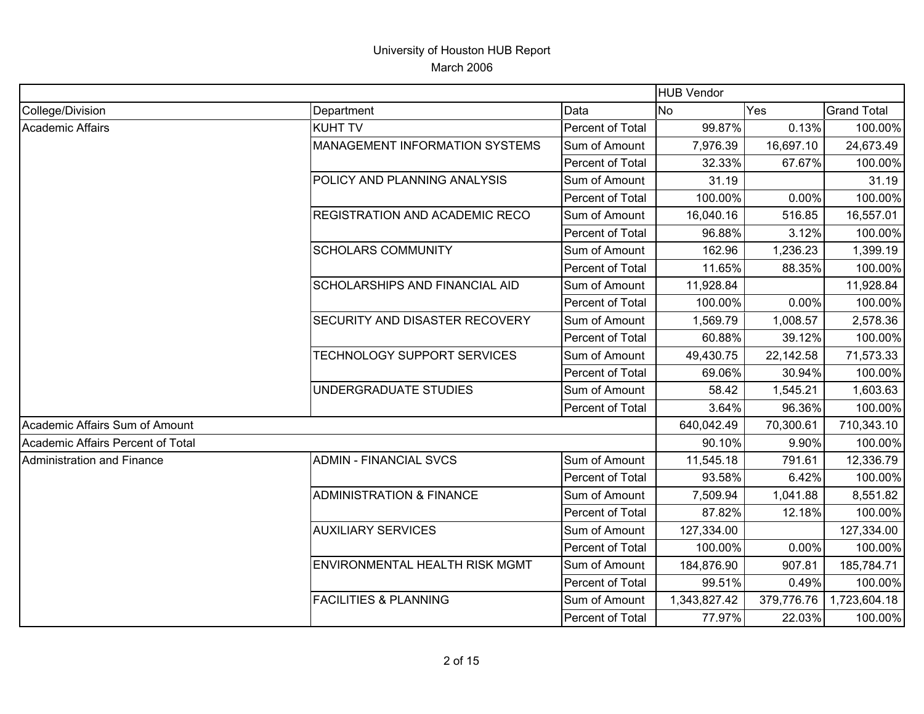|                                   |                                       |                  | <b>HUB Vendor</b> |            |                    |
|-----------------------------------|---------------------------------------|------------------|-------------------|------------|--------------------|
| College/Division                  | Department                            | Data             | No                | Yes        | <b>Grand Total</b> |
| Academic Affairs                  | <b>KUHT TV</b>                        | Percent of Total | 99.87%            | 0.13%      | 100.00%            |
|                                   | <b>MANAGEMENT INFORMATION SYSTEMS</b> | Sum of Amount    | 7,976.39          | 16,697.10  | 24,673.49          |
|                                   |                                       | Percent of Total | 32.33%            | 67.67%     | 100.00%            |
|                                   | POLICY AND PLANNING ANALYSIS          | Sum of Amount    | 31.19             |            | 31.19              |
|                                   |                                       | Percent of Total | 100.00%           | 0.00%      | 100.00%            |
|                                   | <b>REGISTRATION AND ACADEMIC RECO</b> | Sum of Amount    | 16,040.16         | 516.85     | 16,557.01          |
|                                   |                                       | Percent of Total | 96.88%            | 3.12%      | 100.00%            |
|                                   | <b>SCHOLARS COMMUNITY</b>             | Sum of Amount    | 162.96            | 1,236.23   | 1,399.19           |
|                                   |                                       | Percent of Total | 11.65%            | 88.35%     | 100.00%            |
|                                   | SCHOLARSHIPS AND FINANCIAL AID        | Sum of Amount    | 11,928.84         |            | 11,928.84          |
|                                   |                                       | Percent of Total | 100.00%           | 0.00%      | 100.00%            |
|                                   | <b>SECURITY AND DISASTER RECOVERY</b> | Sum of Amount    | 1,569.79          | 1,008.57   | 2,578.36           |
|                                   |                                       | Percent of Total | 60.88%            | 39.12%     | 100.00%            |
|                                   | TECHNOLOGY SUPPORT SERVICES           | Sum of Amount    | 49,430.75         | 22,142.58  | 71,573.33          |
|                                   |                                       | Percent of Total | 69.06%            | 30.94%     | 100.00%            |
|                                   | UNDERGRADUATE STUDIES                 | Sum of Amount    | 58.42             | 1,545.21   | 1,603.63           |
|                                   |                                       | Percent of Total | 3.64%             | 96.36%     | 100.00%            |
| Academic Affairs Sum of Amount    |                                       |                  | 640,042.49        | 70,300.61  | 710,343.10         |
| Academic Affairs Percent of Total |                                       |                  | 90.10%            | 9.90%      | 100.00%            |
| Administration and Finance        | <b>ADMIN - FINANCIAL SVCS</b>         | Sum of Amount    | 11,545.18         | 791.61     | 12,336.79          |
|                                   |                                       | Percent of Total | 93.58%            | 6.42%      | 100.00%            |
|                                   | <b>ADMINISTRATION &amp; FINANCE</b>   | Sum of Amount    | 7,509.94          | 1,041.88   | 8,551.82           |
|                                   |                                       | Percent of Total | 87.82%            | 12.18%     | 100.00%            |
|                                   | <b>AUXILIARY SERVICES</b>             | Sum of Amount    | 127,334.00        |            | 127,334.00         |
|                                   |                                       | Percent of Total | 100.00%           | 0.00%      | 100.00%            |
|                                   | ENVIRONMENTAL HEALTH RISK MGMT        | Sum of Amount    | 184,876.90        | 907.81     | 185,784.71         |
|                                   |                                       | Percent of Total | 99.51%            | 0.49%      | 100.00%            |
|                                   | <b>FACILITIES &amp; PLANNING</b>      | Sum of Amount    | 1,343,827.42      | 379,776.76 | 1,723,604.18       |
|                                   |                                       | Percent of Total | 77.97%            | 22.03%     | 100.00%            |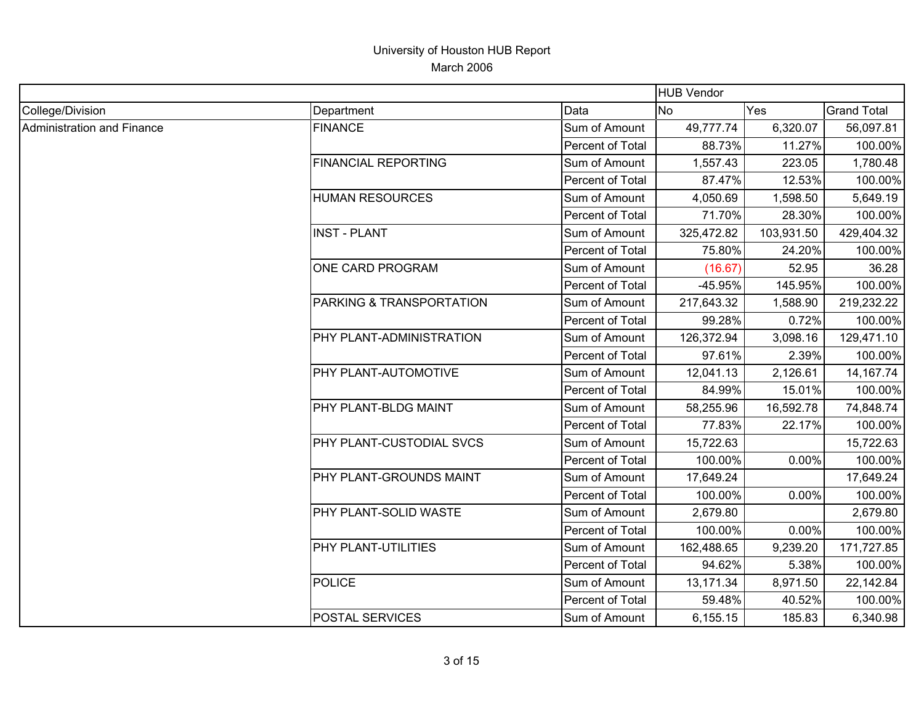| <b>HUB Vendor</b>                 |                            |                  |            |            |                    |
|-----------------------------------|----------------------------|------------------|------------|------------|--------------------|
| College/Division                  | Department                 | Data             | <b>No</b>  | Yes        | <b>Grand Total</b> |
| <b>Administration and Finance</b> | <b>FINANCE</b>             | Sum of Amount    | 49,777.74  | 6,320.07   | 56,097.81          |
|                                   |                            | Percent of Total | 88.73%     | 11.27%     | 100.00%            |
|                                   | <b>FINANCIAL REPORTING</b> | Sum of Amount    | 1,557.43   | 223.05     | 1,780.48           |
|                                   |                            | Percent of Total | 87.47%     | 12.53%     | 100.00%            |
|                                   | <b>HUMAN RESOURCES</b>     | Sum of Amount    | 4,050.69   | 1,598.50   | 5,649.19           |
|                                   |                            | Percent of Total | 71.70%     | 28.30%     | 100.00%            |
|                                   | <b>INST - PLANT</b>        | Sum of Amount    | 325,472.82 | 103,931.50 | 429,404.32         |
|                                   |                            | Percent of Total | 75.80%     | 24.20%     | 100.00%            |
|                                   | ONE CARD PROGRAM           | Sum of Amount    | (16.67)    | 52.95      | 36.28              |
|                                   |                            | Percent of Total | -45.95%    | 145.95%    | 100.00%            |
|                                   | PARKING & TRANSPORTATION   | Sum of Amount    | 217,643.32 | 1,588.90   | 219,232.22         |
|                                   |                            | Percent of Total | 99.28%     | 0.72%      | 100.00%            |
|                                   | PHY PLANT-ADMINISTRATION   | Sum of Amount    | 126,372.94 | 3,098.16   | 129,471.10         |
|                                   |                            | Percent of Total | 97.61%     | 2.39%      | 100.00%            |
|                                   | PHY PLANT-AUTOMOTIVE       | Sum of Amount    | 12,041.13  | 2,126.61   | 14, 167. 74        |
|                                   |                            | Percent of Total | 84.99%     | 15.01%     | 100.00%            |
|                                   | PHY PLANT-BLDG MAINT       | Sum of Amount    | 58,255.96  | 16,592.78  | 74,848.74          |
|                                   |                            | Percent of Total | 77.83%     | 22.17%     | 100.00%            |
|                                   | PHY PLANT-CUSTODIAL SVCS   | Sum of Amount    | 15,722.63  |            | 15,722.63          |
|                                   |                            | Percent of Total | 100.00%    | 0.00%      | 100.00%            |
|                                   | PHY PLANT-GROUNDS MAINT    | Sum of Amount    | 17,649.24  |            | 17,649.24          |
|                                   |                            | Percent of Total | 100.00%    | 0.00%      | 100.00%            |
|                                   | PHY PLANT-SOLID WASTE      | Sum of Amount    | 2,679.80   |            | 2,679.80           |
|                                   |                            | Percent of Total | 100.00%    | 0.00%      | 100.00%            |
|                                   | PHY PLANT-UTILITIES        | Sum of Amount    | 162,488.65 | 9,239.20   | 171,727.85         |
|                                   |                            | Percent of Total | 94.62%     | 5.38%      | 100.00%            |
|                                   | <b>POLICE</b>              | Sum of Amount    | 13,171.34  | 8,971.50   | 22,142.84          |
|                                   |                            | Percent of Total | 59.48%     | 40.52%     | 100.00%            |
|                                   | <b>POSTAL SERVICES</b>     | Sum of Amount    | 6,155.15   | 185.83     | 6,340.98           |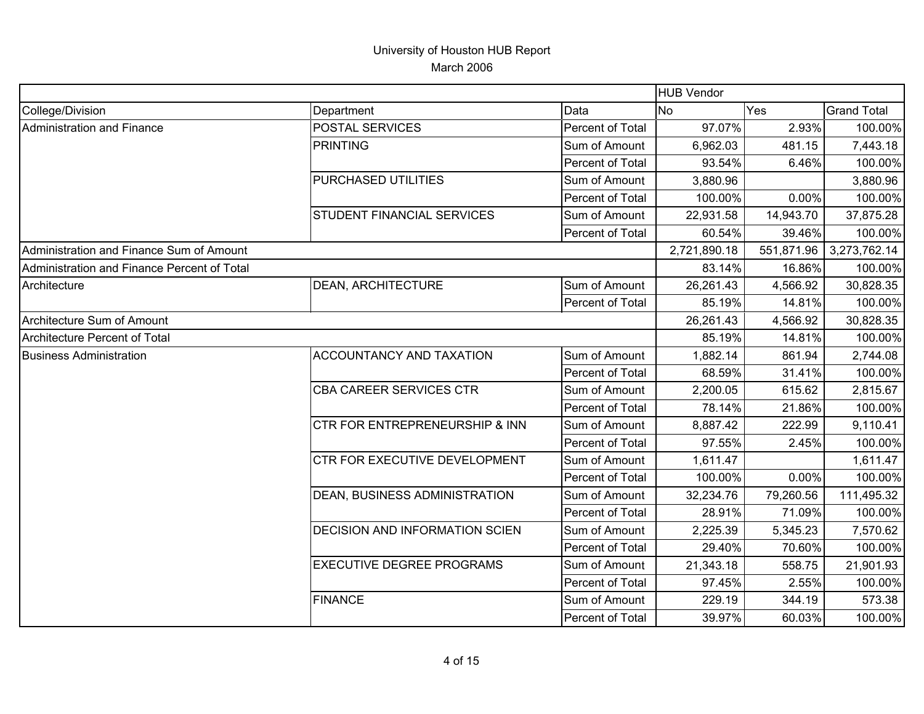|                                             |                                      |                  | <b>HUB Vendor</b> |            |                    |
|---------------------------------------------|--------------------------------------|------------------|-------------------|------------|--------------------|
| College/Division                            | Department                           | Data             | <b>No</b>         | Yes        | <b>Grand Total</b> |
| <b>Administration and Finance</b>           | <b>POSTAL SERVICES</b>               | Percent of Total | 97.07%            | 2.93%      | 100.00%            |
|                                             | <b>PRINTING</b>                      | Sum of Amount    | 6,962.03          | 481.15     | 7,443.18           |
|                                             |                                      | Percent of Total | 93.54%            | 6.46%      | 100.00%            |
|                                             | PURCHASED UTILITIES                  | Sum of Amount    | 3,880.96          |            | 3,880.96           |
|                                             |                                      | Percent of Total | 100.00%           | 0.00%      | 100.00%            |
|                                             | <b>STUDENT FINANCIAL SERVICES</b>    | Sum of Amount    | 22,931.58         | 14,943.70  | 37,875.28          |
|                                             |                                      | Percent of Total | 60.54%            | 39.46%     | 100.00%            |
| Administration and Finance Sum of Amount    |                                      |                  | 2,721,890.18      | 551,871.96 | 3,273,762.14       |
| Administration and Finance Percent of Total |                                      |                  | 83.14%            | 16.86%     | 100.00%            |
| Architecture                                | <b>DEAN, ARCHITECTURE</b>            | Sum of Amount    | 26,261.43         | 4,566.92   | 30,828.35          |
|                                             |                                      | Percent of Total | 85.19%            | 14.81%     | 100.00%            |
| Architecture Sum of Amount                  |                                      |                  | 26,261.43         | 4,566.92   | 30,828.35          |
| <b>Architecture Percent of Total</b>        |                                      |                  | 85.19%            | 14.81%     | 100.00%            |
| <b>Business Administration</b>              | ACCOUNTANCY AND TAXATION             | Sum of Amount    | 1,882.14          | 861.94     | 2,744.08           |
|                                             |                                      | Percent of Total | 68.59%            | 31.41%     | 100.00%            |
|                                             | CBA CAREER SERVICES CTR              | Sum of Amount    | 2,200.05          | 615.62     | 2,815.67           |
|                                             |                                      | Percent of Total | 78.14%            | 21.86%     | 100.00%            |
|                                             | CTR FOR ENTREPRENEURSHIP & INN       | Sum of Amount    | 8,887.42          | 222.99     | 9,110.41           |
|                                             |                                      | Percent of Total | 97.55%            | 2.45%      | 100.00%            |
|                                             | CTR FOR EXECUTIVE DEVELOPMENT        | Sum of Amount    | 1,611.47          |            | 1,611.47           |
|                                             |                                      | Percent of Total | 100.00%           | 0.00%      | 100.00%            |
|                                             | <b>DEAN, BUSINESS ADMINISTRATION</b> | Sum of Amount    | 32,234.76         | 79,260.56  | 111,495.32         |
|                                             |                                      | Percent of Total | 28.91%            | 71.09%     | 100.00%            |
|                                             | DECISION AND INFORMATION SCIEN       | Sum of Amount    | 2,225.39          | 5,345.23   | 7,570.62           |
|                                             |                                      | Percent of Total | 29.40%            | 70.60%     | 100.00%            |
|                                             | <b>EXECUTIVE DEGREE PROGRAMS</b>     | Sum of Amount    | 21,343.18         | 558.75     | 21,901.93          |
|                                             |                                      | Percent of Total | 97.45%            | 2.55%      | 100.00%            |
|                                             | <b>FINANCE</b>                       | Sum of Amount    | 229.19            | 344.19     | 573.38             |
|                                             |                                      | Percent of Total | 39.97%            | 60.03%     | 100.00%            |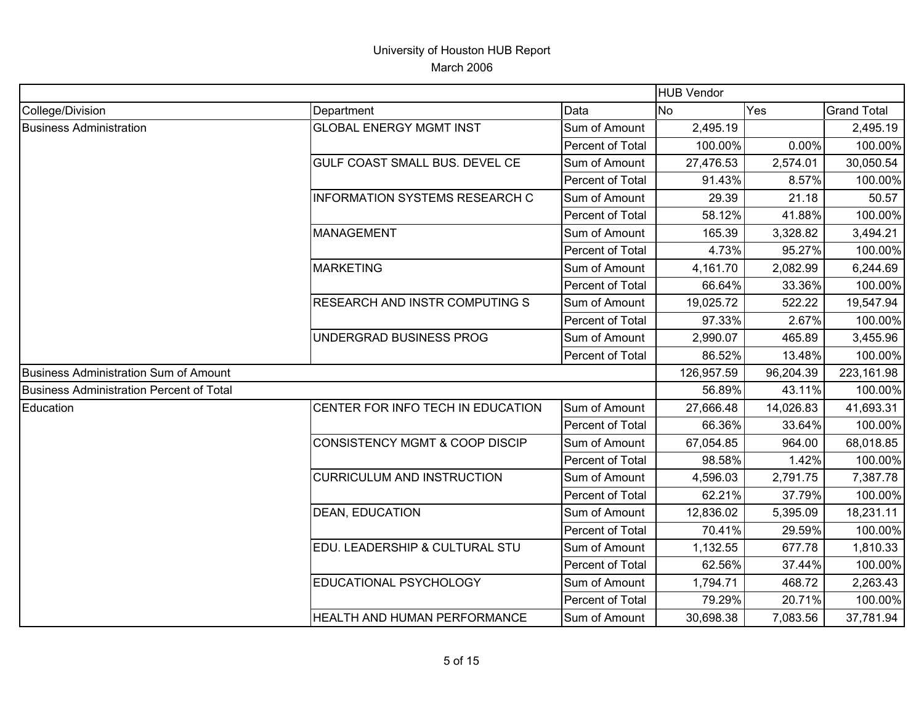|                                          |                                           |                  | <b>HUB Vendor</b> |           |                    |
|------------------------------------------|-------------------------------------------|------------------|-------------------|-----------|--------------------|
| College/Division                         | Department                                | Data             | <b>No</b>         | Yes       | <b>Grand Total</b> |
| <b>Business Administration</b>           | <b>GLOBAL ENERGY MGMT INST</b>            | Sum of Amount    | 2,495.19          |           | 2,495.19           |
|                                          |                                           | Percent of Total | 100.00%           | 0.00%     | 100.00%            |
|                                          | GULF COAST SMALL BUS. DEVEL CE            | Sum of Amount    | 27,476.53         | 2,574.01  | 30,050.54          |
|                                          |                                           | Percent of Total | 91.43%            | 8.57%     | 100.00%            |
|                                          | <b>INFORMATION SYSTEMS RESEARCH C</b>     | Sum of Amount    | 29.39             | 21.18     | 50.57              |
|                                          |                                           | Percent of Total | 58.12%            | 41.88%    | 100.00%            |
|                                          | <b>MANAGEMENT</b>                         | Sum of Amount    | 165.39            | 3,328.82  | 3,494.21           |
|                                          |                                           | Percent of Total | 4.73%             | 95.27%    | 100.00%            |
|                                          | <b>MARKETING</b>                          | Sum of Amount    | 4,161.70          | 2,082.99  | 6,244.69           |
|                                          |                                           | Percent of Total | 66.64%            | 33.36%    | 100.00%            |
|                                          | <b>RESEARCH AND INSTR COMPUTING S</b>     | Sum of Amount    | 19,025.72         | 522.22    | 19,547.94          |
|                                          |                                           | Percent of Total | 97.33%            | 2.67%     | 100.00%            |
|                                          | UNDERGRAD BUSINESS PROG                   | Sum of Amount    | 2,990.07          | 465.89    | 3,455.96           |
|                                          |                                           | Percent of Total | 86.52%            | 13.48%    | 100.00%            |
| Business Administration Sum of Amount    |                                           |                  | 126,957.59        | 96,204.39 | 223,161.98         |
| Business Administration Percent of Total |                                           |                  | 56.89%            | 43.11%    | 100.00%            |
| Education                                | CENTER FOR INFO TECH IN EDUCATION         | Sum of Amount    | 27,666.48         | 14,026.83 | 41,693.31          |
|                                          |                                           | Percent of Total | 66.36%            | 33.64%    | 100.00%            |
|                                          | <b>CONSISTENCY MGMT &amp; COOP DISCIP</b> | Sum of Amount    | 67,054.85         | 964.00    | 68,018.85          |
|                                          |                                           | Percent of Total | 98.58%            | 1.42%     | 100.00%            |
|                                          | <b>CURRICULUM AND INSTRUCTION</b>         | Sum of Amount    | 4,596.03          | 2,791.75  | 7,387.78           |
|                                          |                                           | Percent of Total | 62.21%            | 37.79%    | 100.00%            |
|                                          | <b>DEAN, EDUCATION</b>                    | Sum of Amount    | 12,836.02         | 5,395.09  | 18,231.11          |
|                                          |                                           | Percent of Total | 70.41%            | 29.59%    | 100.00%            |
|                                          | EDU. LEADERSHIP & CULTURAL STU            | Sum of Amount    | 1,132.55          | 677.78    | 1,810.33           |
|                                          |                                           | Percent of Total | 62.56%            | 37.44%    | 100.00%            |
|                                          | EDUCATIONAL PSYCHOLOGY                    | Sum of Amount    | 1,794.71          | 468.72    | 2,263.43           |
|                                          |                                           | Percent of Total | 79.29%            | 20.71%    | 100.00%            |
|                                          | HEALTH AND HUMAN PERFORMANCE              | Sum of Amount    | 30,698.38         | 7,083.56  | 37,781.94          |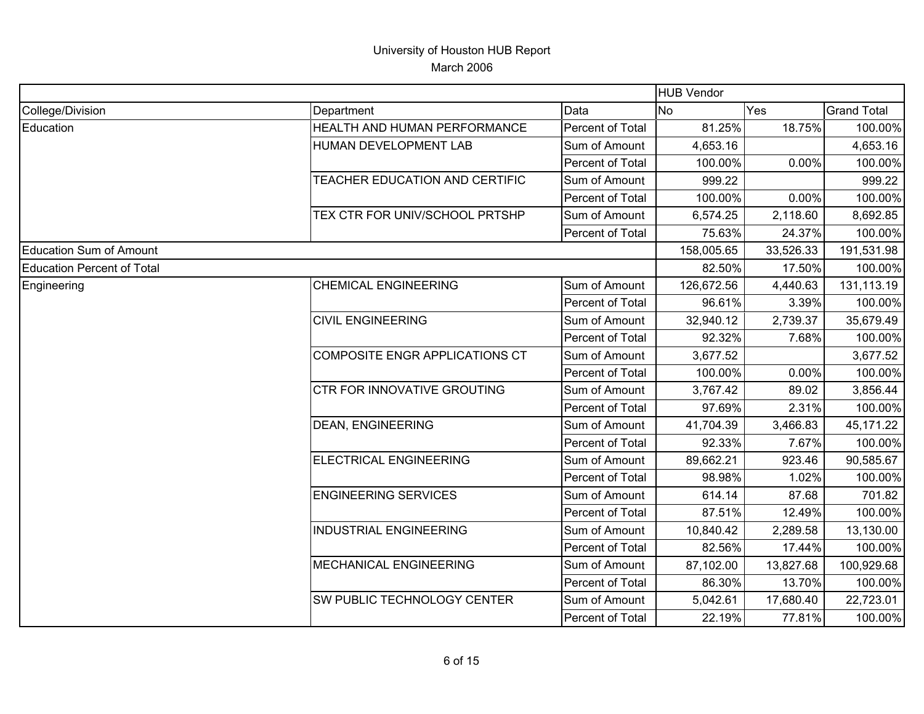|                                   |                                       |                  | HUB Vendor |           |                    |
|-----------------------------------|---------------------------------------|------------------|------------|-----------|--------------------|
| College/Division                  | Department                            | Data             | <b>No</b>  | Yes       | <b>Grand Total</b> |
| Education                         | HEALTH AND HUMAN PERFORMANCE          | Percent of Total | 81.25%     | 18.75%    | 100.00%            |
|                                   | HUMAN DEVELOPMENT LAB                 | Sum of Amount    | 4,653.16   |           | 4,653.16           |
|                                   |                                       | Percent of Total | 100.00%    | 0.00%     | 100.00%            |
|                                   | TEACHER EDUCATION AND CERTIFIC        | Sum of Amount    | 999.22     |           | 999.22             |
|                                   |                                       | Percent of Total | 100.00%    | 0.00%     | 100.00%            |
|                                   | TEX CTR FOR UNIV/SCHOOL PRTSHP        | Sum of Amount    | 6,574.25   | 2,118.60  | 8,692.85           |
|                                   |                                       | Percent of Total | 75.63%     | 24.37%    | 100.00%            |
| <b>Education Sum of Amount</b>    |                                       |                  | 158,005.65 | 33,526.33 | 191,531.98         |
| <b>Education Percent of Total</b> |                                       |                  | 82.50%     | 17.50%    | 100.00%            |
| Engineering                       | <b>CHEMICAL ENGINEERING</b>           | Sum of Amount    | 126,672.56 | 4,440.63  | 131,113.19         |
|                                   |                                       | Percent of Total | 96.61%     | 3.39%     | 100.00%            |
|                                   | <b>CIVIL ENGINEERING</b>              | Sum of Amount    | 32,940.12  | 2,739.37  | 35,679.49          |
|                                   |                                       | Percent of Total | 92.32%     | 7.68%     | 100.00%            |
|                                   | <b>COMPOSITE ENGR APPLICATIONS CT</b> | Sum of Amount    | 3,677.52   |           | 3,677.52           |
|                                   |                                       | Percent of Total | 100.00%    | 0.00%     | 100.00%            |
|                                   | CTR FOR INNOVATIVE GROUTING           | Sum of Amount    | 3,767.42   | 89.02     | 3,856.44           |
|                                   |                                       | Percent of Total | 97.69%     | 2.31%     | 100.00%            |
|                                   | <b>DEAN, ENGINEERING</b>              | Sum of Amount    | 41,704.39  | 3,466.83  | 45,171.22          |
|                                   |                                       | Percent of Total | 92.33%     | 7.67%     | 100.00%            |
|                                   | <b>ELECTRICAL ENGINEERING</b>         | Sum of Amount    | 89,662.21  | 923.46    | 90,585.67          |
|                                   |                                       | Percent of Total | 98.98%     | 1.02%     | 100.00%            |
|                                   | <b>ENGINEERING SERVICES</b>           | Sum of Amount    | 614.14     | 87.68     | 701.82             |
|                                   |                                       | Percent of Total | 87.51%     | 12.49%    | 100.00%            |
|                                   | <b>INDUSTRIAL ENGINEERING</b>         | Sum of Amount    | 10,840.42  | 2,289.58  | 13,130.00          |
|                                   |                                       | Percent of Total | 82.56%     | 17.44%    | 100.00%            |
|                                   | <b>MECHANICAL ENGINEERING</b>         | Sum of Amount    | 87,102.00  | 13,827.68 | 100,929.68         |
|                                   |                                       | Percent of Total | 86.30%     | 13.70%    | 100.00%            |
|                                   | SW PUBLIC TECHNOLOGY CENTER           | Sum of Amount    | 5,042.61   | 17,680.40 | 22,723.01          |
|                                   |                                       | Percent of Total | 22.19%     | 77.81%    | 100.00%            |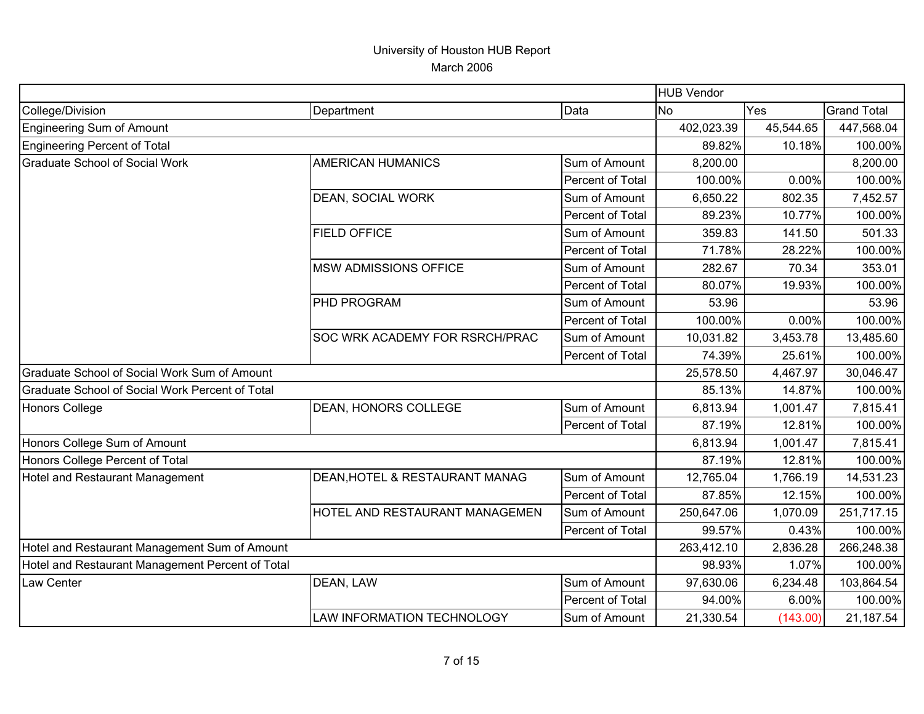|                                                  |                                       |                  | <b>HUB Vendor</b> |           |                    |
|--------------------------------------------------|---------------------------------------|------------------|-------------------|-----------|--------------------|
| College/Division                                 | Department                            | Data             | <b>No</b>         | Yes       | <b>Grand Total</b> |
| <b>Engineering Sum of Amount</b>                 |                                       |                  | 402,023.39        | 45,544.65 | 447,568.04         |
| <b>Engineering Percent of Total</b>              |                                       |                  | 89.82%            | 10.18%    | 100.00%            |
| <b>Graduate School of Social Work</b>            | <b>AMERICAN HUMANICS</b>              | Sum of Amount    | 8,200.00          |           | 8,200.00           |
|                                                  |                                       | Percent of Total | 100.00%           | 0.00%     | 100.00%            |
|                                                  | DEAN, SOCIAL WORK                     | Sum of Amount    | 6,650.22          | 802.35    | 7,452.57           |
|                                                  |                                       | Percent of Total | 89.23%            | 10.77%    | 100.00%            |
|                                                  | <b>FIELD OFFICE</b>                   | Sum of Amount    | 359.83            | 141.50    | 501.33             |
|                                                  |                                       | Percent of Total | 71.78%            | 28.22%    | 100.00%            |
|                                                  | <b>MSW ADMISSIONS OFFICE</b>          | Sum of Amount    | 282.67            | 70.34     | 353.01             |
|                                                  |                                       | Percent of Total | 80.07%            | 19.93%    | 100.00%            |
|                                                  | <b>PHD PROGRAM</b>                    | Sum of Amount    | 53.96             |           | 53.96              |
|                                                  |                                       | Percent of Total | 100.00%           | 0.00%     | 100.00%            |
|                                                  | <b>SOC WRK ACADEMY FOR RSRCH/PRAC</b> | Sum of Amount    | 10,031.82         | 3,453.78  | 13,485.60          |
|                                                  |                                       | Percent of Total | 74.39%            | 25.61%    | 100.00%            |
| Graduate School of Social Work Sum of Amount     |                                       |                  | 25,578.50         | 4,467.97  | 30,046.47          |
| Graduate School of Social Work Percent of Total  |                                       |                  | 85.13%            | 14.87%    | 100.00%            |
| <b>Honors College</b>                            | <b>DEAN, HONORS COLLEGE</b>           | Sum of Amount    | 6,813.94          | 1,001.47  | 7,815.41           |
|                                                  |                                       | Percent of Total | 87.19%            | 12.81%    | 100.00%            |
| Honors College Sum of Amount                     |                                       |                  | 6,813.94          | 1,001.47  | 7,815.41           |
| Honors College Percent of Total                  |                                       |                  | 87.19%            | 12.81%    | 100.00%            |
| Hotel and Restaurant Management                  | DEAN, HOTEL & RESTAURANT MANAG        | Sum of Amount    | 12,765.04         | 1,766.19  | 14,531.23          |
|                                                  |                                       | Percent of Total | 87.85%            | 12.15%    | 100.00%            |
|                                                  | HOTEL AND RESTAURANT MANAGEMEN        | Sum of Amount    | 250,647.06        | 1,070.09  | 251,717.15         |
|                                                  |                                       | Percent of Total | 99.57%            | 0.43%     | 100.00%            |
| Hotel and Restaurant Management Sum of Amount    |                                       |                  | 263,412.10        | 2,836.28  | 266,248.38         |
| Hotel and Restaurant Management Percent of Total |                                       |                  | 98.93%            | 1.07%     | 100.00%            |
| Law Center                                       | DEAN, LAW                             | Sum of Amount    | 97,630.06         | 6,234.48  | 103,864.54         |
|                                                  |                                       | Percent of Total | 94.00%            | 6.00%     | 100.00%            |
|                                                  | LAW INFORMATION TECHNOLOGY            | Sum of Amount    | 21,330.54         | (143.00)  | 21,187.54          |
|                                                  |                                       |                  |                   |           |                    |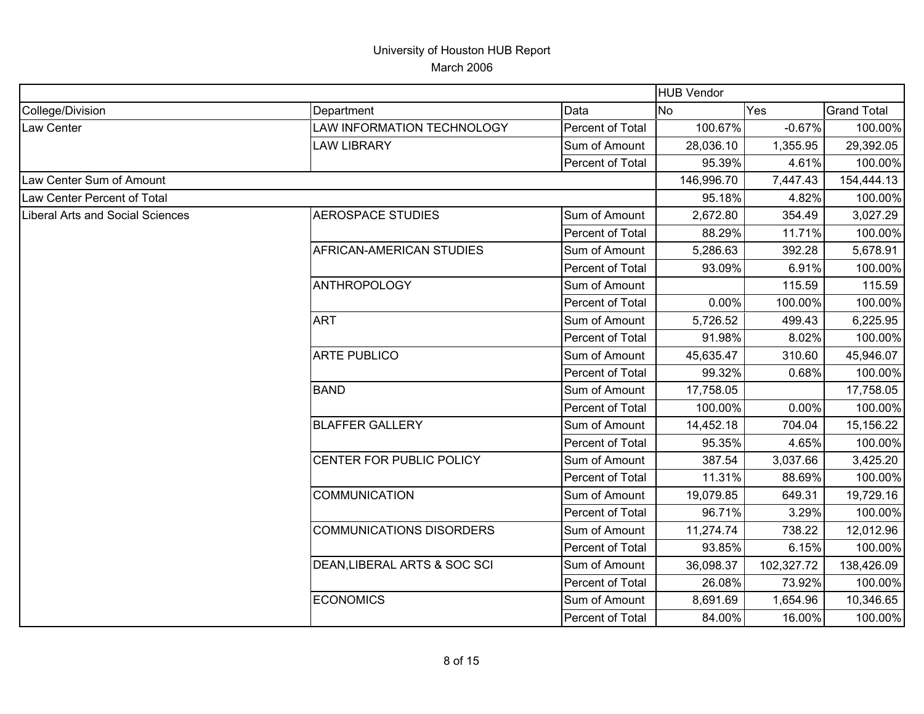|                                         |                                 |                  | <b>HUB Vendor</b> |            |                    |
|-----------------------------------------|---------------------------------|------------------|-------------------|------------|--------------------|
| College/Division                        | Department                      | Data             | No                | Yes        | <b>Grand Total</b> |
| Law Center                              | LAW INFORMATION TECHNOLOGY      | Percent of Total | 100.67%           | $-0.67%$   | 100.00%            |
|                                         | <b>LAW LIBRARY</b>              | Sum of Amount    | 28,036.10         | 1,355.95   | 29,392.05          |
|                                         |                                 | Percent of Total | 95.39%            | 4.61%      | 100.00%            |
| Law Center Sum of Amount                |                                 |                  | 146,996.70        | 7,447.43   | 154,444.13         |
| Law Center Percent of Total             |                                 |                  | 95.18%            | 4.82%      | 100.00%            |
| <b>Liberal Arts and Social Sciences</b> | <b>AEROSPACE STUDIES</b>        | Sum of Amount    | 2,672.80          | 354.49     | 3,027.29           |
|                                         |                                 | Percent of Total | 88.29%            | 11.71%     | 100.00%            |
|                                         | AFRICAN-AMERICAN STUDIES        | Sum of Amount    | 5,286.63          | 392.28     | 5,678.91           |
|                                         |                                 | Percent of Total | 93.09%            | 6.91%      | 100.00%            |
|                                         | <b>ANTHROPOLOGY</b>             | Sum of Amount    |                   | 115.59     | 115.59             |
|                                         |                                 | Percent of Total | 0.00%             | 100.00%    | 100.00%            |
|                                         | <b>ART</b>                      | Sum of Amount    | 5,726.52          | 499.43     | 6,225.95           |
|                                         |                                 | Percent of Total | 91.98%            | 8.02%      | 100.00%            |
|                                         | <b>ARTE PUBLICO</b>             | Sum of Amount    | 45,635.47         | 310.60     | 45,946.07          |
|                                         |                                 | Percent of Total | 99.32%            | 0.68%      | 100.00%            |
|                                         | <b>BAND</b>                     | Sum of Amount    | 17,758.05         |            | 17,758.05          |
|                                         |                                 | Percent of Total | 100.00%           | 0.00%      | 100.00%            |
|                                         | <b>BLAFFER GALLERY</b>          | Sum of Amount    | 14,452.18         | 704.04     | 15,156.22          |
|                                         |                                 | Percent of Total | 95.35%            | 4.65%      | 100.00%            |
|                                         | CENTER FOR PUBLIC POLICY        | Sum of Amount    | 387.54            | 3,037.66   | 3,425.20           |
|                                         |                                 | Percent of Total | 11.31%            | 88.69%     | 100.00%            |
|                                         | <b>COMMUNICATION</b>            | Sum of Amount    | 19,079.85         | 649.31     | 19,729.16          |
|                                         |                                 | Percent of Total | 96.71%            | 3.29%      | 100.00%            |
|                                         | <b>COMMUNICATIONS DISORDERS</b> | Sum of Amount    | 11,274.74         | 738.22     | 12,012.96          |
|                                         |                                 | Percent of Total | 93.85%            | 6.15%      | 100.00%            |
|                                         | DEAN, LIBERAL ARTS & SOC SCI    | Sum of Amount    | 36,098.37         | 102,327.72 | 138,426.09         |
|                                         |                                 | Percent of Total | 26.08%            | 73.92%     | 100.00%            |
|                                         | <b>ECONOMICS</b>                | Sum of Amount    | 8,691.69          | 1,654.96   | 10,346.65          |
|                                         |                                 | Percent of Total | 84.00%            | 16.00%     | 100.00%            |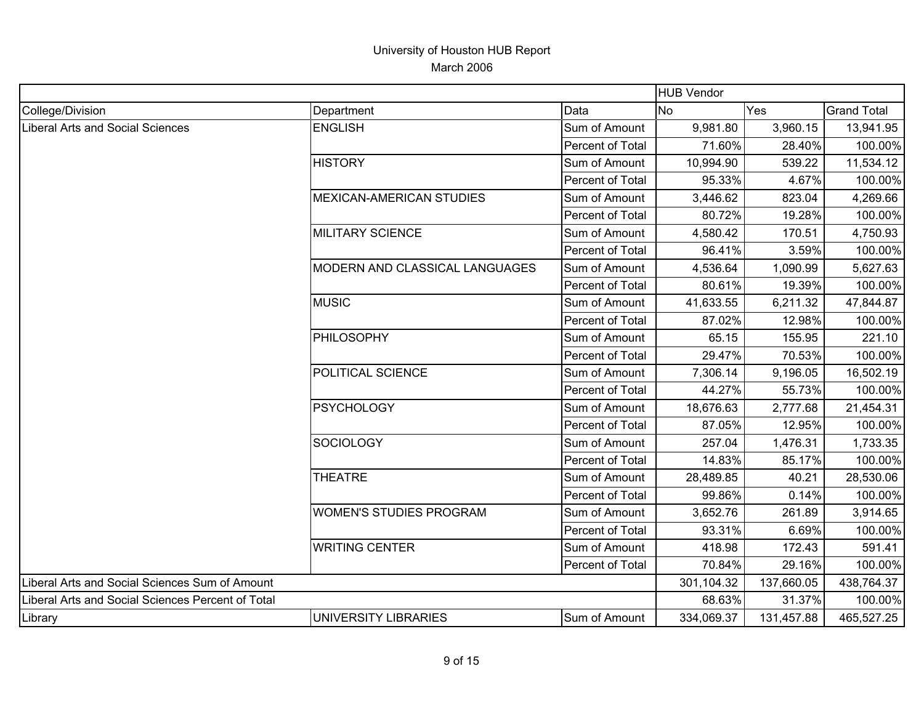|                                                   |                                 |                  | <b>HUB Vendor</b> |            |                    |
|---------------------------------------------------|---------------------------------|------------------|-------------------|------------|--------------------|
| College/Division                                  | Department                      | Data             | <b>No</b>         | Yes        | <b>Grand Total</b> |
| Liberal Arts and Social Sciences                  | <b>ENGLISH</b>                  | Sum of Amount    | 9,981.80          | 3,960.15   | 13,941.95          |
|                                                   |                                 | Percent of Total | 71.60%            | 28.40%     | 100.00%            |
|                                                   | <b>HISTORY</b>                  | Sum of Amount    | 10,994.90         | 539.22     | 11,534.12          |
|                                                   |                                 | Percent of Total | 95.33%            | 4.67%      | 100.00%            |
|                                                   | <b>MEXICAN-AMERICAN STUDIES</b> | Sum of Amount    | 3,446.62          | 823.04     | 4,269.66           |
|                                                   |                                 | Percent of Total | 80.72%            | 19.28%     | 100.00%            |
|                                                   | <b>MILITARY SCIENCE</b>         | Sum of Amount    | 4,580.42          | 170.51     | 4,750.93           |
|                                                   |                                 | Percent of Total | 96.41%            | 3.59%      | 100.00%            |
|                                                   | MODERN AND CLASSICAL LANGUAGES  | Sum of Amount    | 4,536.64          | 1,090.99   | 5,627.63           |
|                                                   |                                 | Percent of Total | 80.61%            | 19.39%     | 100.00%            |
|                                                   | <b>MUSIC</b>                    | Sum of Amount    | 41,633.55         | 6,211.32   | 47,844.87          |
|                                                   |                                 | Percent of Total | 87.02%            | 12.98%     | 100.00%            |
|                                                   | PHILOSOPHY                      | Sum of Amount    | 65.15             | 155.95     | 221.10             |
|                                                   |                                 | Percent of Total | 29.47%            | 70.53%     | 100.00%            |
|                                                   | POLITICAL SCIENCE               | Sum of Amount    | 7,306.14          | 9,196.05   | 16,502.19          |
|                                                   |                                 | Percent of Total | 44.27%            | 55.73%     | 100.00%            |
|                                                   | <b>PSYCHOLOGY</b>               | Sum of Amount    | 18,676.63         | 2,777.68   | 21,454.31          |
|                                                   |                                 | Percent of Total | 87.05%            | 12.95%     | 100.00%            |
|                                                   | <b>SOCIOLOGY</b>                | Sum of Amount    | 257.04            | 1,476.31   | 1,733.35           |
|                                                   |                                 | Percent of Total | 14.83%            | 85.17%     | 100.00%            |
|                                                   | <b>THEATRE</b>                  | Sum of Amount    | 28,489.85         | 40.21      | 28,530.06          |
|                                                   |                                 | Percent of Total | 99.86%            | 0.14%      | 100.00%            |
|                                                   | <b>WOMEN'S STUDIES PROGRAM</b>  | Sum of Amount    | 3,652.76          | 261.89     | 3,914.65           |
|                                                   |                                 | Percent of Total | 93.31%            | 6.69%      | 100.00%            |
|                                                   | <b>WRITING CENTER</b>           | Sum of Amount    | 418.98            | 172.43     | 591.41             |
|                                                   |                                 | Percent of Total | 70.84%            | 29.16%     | 100.00%            |
| Liberal Arts and Social Sciences Sum of Amount    |                                 |                  | 301,104.32        | 137,660.05 | 438,764.37         |
| Liberal Arts and Social Sciences Percent of Total |                                 |                  | 68.63%            | 31.37%     | 100.00%            |
| Library                                           | UNIVERSITY LIBRARIES            | Sum of Amount    | 334,069.37        | 131,457.88 | 465,527.25         |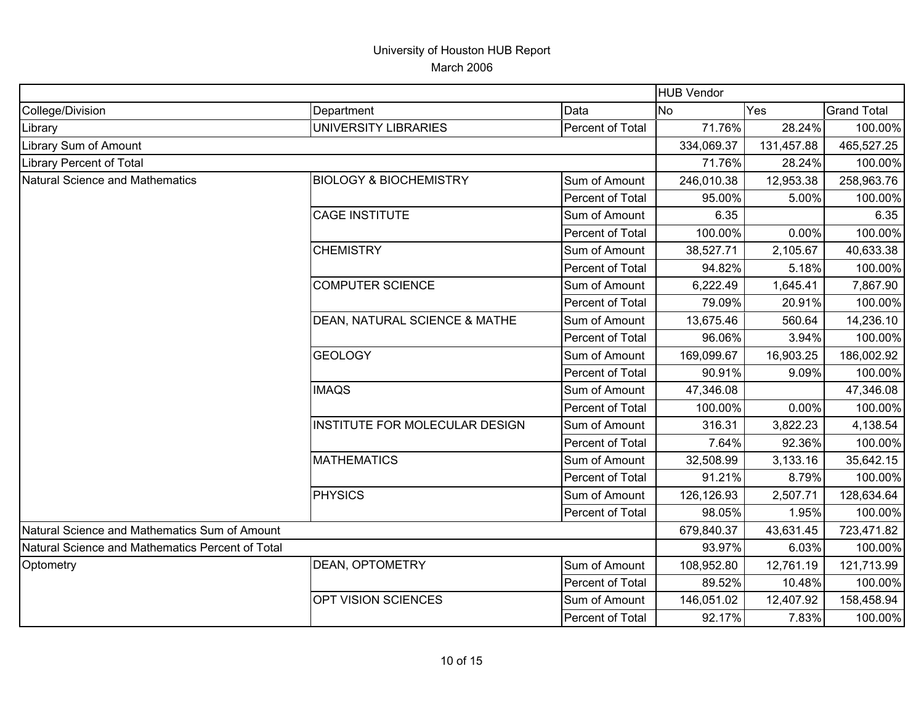|                                                  |                                   |                  | <b>HUB Vendor</b> |            |                    |
|--------------------------------------------------|-----------------------------------|------------------|-------------------|------------|--------------------|
| College/Division                                 | Department                        | Data             | <b>No</b>         | Yes        | <b>Grand Total</b> |
| Library                                          | UNIVERSITY LIBRARIES              | Percent of Total | 71.76%            | 28.24%     | 100.00%            |
| Library Sum of Amount                            |                                   |                  | 334,069.37        | 131,457.88 | 465,527.25         |
| Library Percent of Total                         |                                   |                  | 71.76%            | 28.24%     | 100.00%            |
| Natural Science and Mathematics                  | <b>BIOLOGY &amp; BIOCHEMISTRY</b> | Sum of Amount    | 246,010.38        | 12,953.38  | 258,963.76         |
|                                                  |                                   | Percent of Total | 95.00%            | 5.00%      | 100.00%            |
|                                                  | <b>CAGE INSTITUTE</b>             | Sum of Amount    | 6.35              |            | 6.35               |
|                                                  |                                   | Percent of Total | 100.00%           | 0.00%      | 100.00%            |
|                                                  | <b>CHEMISTRY</b>                  | Sum of Amount    | 38,527.71         | 2,105.67   | 40,633.38          |
|                                                  |                                   | Percent of Total | 94.82%            | 5.18%      | 100.00%            |
|                                                  | <b>COMPUTER SCIENCE</b>           | Sum of Amount    | 6,222.49          | 1,645.41   | 7,867.90           |
|                                                  |                                   | Percent of Total | 79.09%            | 20.91%     | 100.00%            |
|                                                  | DEAN, NATURAL SCIENCE & MATHE     | Sum of Amount    | 13,675.46         | 560.64     | 14,236.10          |
|                                                  |                                   | Percent of Total | 96.06%            | 3.94%      | 100.00%            |
|                                                  | <b>GEOLOGY</b>                    | Sum of Amount    | 169,099.67        | 16,903.25  | 186,002.92         |
|                                                  |                                   | Percent of Total | 90.91%            | 9.09%      | 100.00%            |
|                                                  | <b>IMAQS</b>                      | Sum of Amount    | 47,346.08         |            | 47,346.08          |
|                                                  |                                   | Percent of Total | 100.00%           | 0.00%      | 100.00%            |
|                                                  | INSTITUTE FOR MOLECULAR DESIGN    | Sum of Amount    | 316.31            | 3,822.23   | 4,138.54           |
|                                                  |                                   | Percent of Total | 7.64%             | 92.36%     | 100.00%            |
|                                                  | <b>MATHEMATICS</b>                | Sum of Amount    | 32,508.99         | 3,133.16   | 35,642.15          |
|                                                  |                                   | Percent of Total | 91.21%            | 8.79%      | 100.00%            |
|                                                  | <b>PHYSICS</b>                    | Sum of Amount    | 126,126.93        | 2,507.71   | 128,634.64         |
|                                                  |                                   | Percent of Total | 98.05%            | 1.95%      | 100.00%            |
| Natural Science and Mathematics Sum of Amount    |                                   |                  | 679,840.37        | 43,631.45  | 723,471.82         |
| Natural Science and Mathematics Percent of Total |                                   |                  | 93.97%            | 6.03%      | 100.00%            |
| Optometry                                        | <b>DEAN, OPTOMETRY</b>            | Sum of Amount    | 108,952.80        | 12,761.19  | 121,713.99         |
|                                                  |                                   | Percent of Total | 89.52%            | 10.48%     | 100.00%            |
|                                                  | OPT VISION SCIENCES               | Sum of Amount    | 146,051.02        | 12,407.92  | 158,458.94         |
|                                                  |                                   | Percent of Total | 92.17%            | 7.83%      | 100.00%            |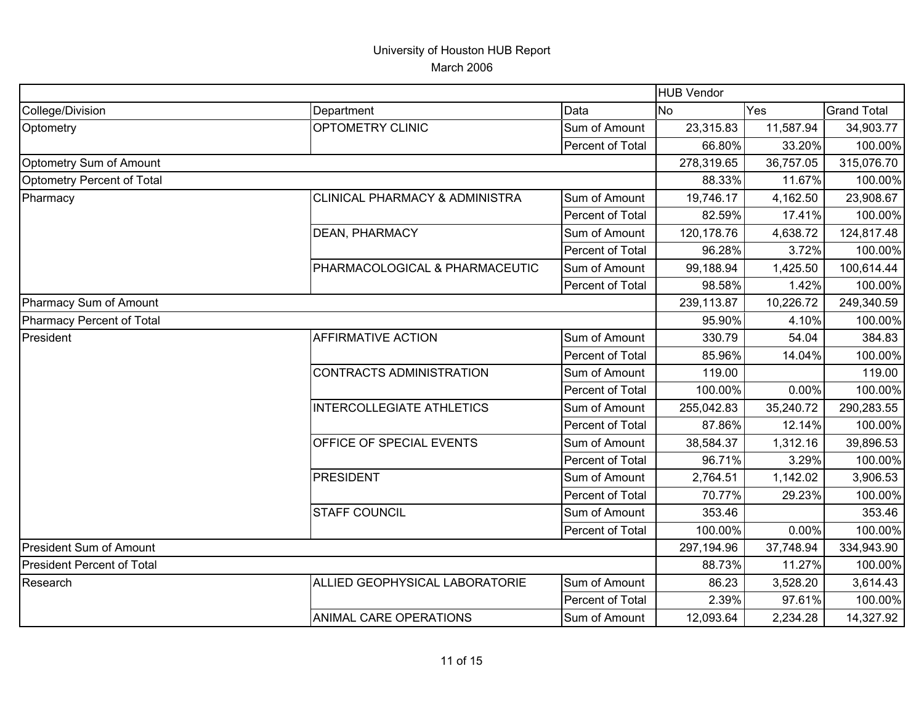|                                   |                                           |                  | <b>HUB Vendor</b> |           |                    |
|-----------------------------------|-------------------------------------------|------------------|-------------------|-----------|--------------------|
| College/Division                  | Department                                | Data             | No.               | Yes       | <b>Grand Total</b> |
| Optometry                         | OPTOMETRY CLINIC                          | Sum of Amount    | 23,315.83         | 11,587.94 | 34,903.77          |
|                                   |                                           | Percent of Total | 66.80%            | 33.20%    | 100.00%            |
| Optometry Sum of Amount           |                                           |                  | 278,319.65        | 36,757.05 | 315,076.70         |
| Optometry Percent of Total        |                                           |                  | 88.33%            | 11.67%    | 100.00%            |
| Pharmacy                          | <b>CLINICAL PHARMACY &amp; ADMINISTRA</b> | Sum of Amount    | 19,746.17         | 4,162.50  | 23,908.67          |
|                                   |                                           | Percent of Total | 82.59%            | 17.41%    | 100.00%            |
|                                   | DEAN, PHARMACY                            | Sum of Amount    | 120,178.76        | 4,638.72  | 124,817.48         |
|                                   |                                           | Percent of Total | 96.28%            | 3.72%     | 100.00%            |
|                                   | PHARMACOLOGICAL & PHARMACEUTIC            | Sum of Amount    | 99,188.94         | 1,425.50  | 100,614.44         |
|                                   |                                           | Percent of Total | 98.58%            | 1.42%     | 100.00%            |
| Pharmacy Sum of Amount            |                                           |                  | 239,113.87        | 10,226.72 | 249,340.59         |
| Pharmacy Percent of Total         |                                           |                  | 95.90%            | 4.10%     | 100.00%            |
| President                         | <b>AFFIRMATIVE ACTION</b>                 | Sum of Amount    | 330.79            | 54.04     | 384.83             |
|                                   |                                           | Percent of Total | 85.96%            | 14.04%    | 100.00%            |
|                                   | CONTRACTS ADMINISTRATION                  | Sum of Amount    | 119.00            |           | 119.00             |
|                                   |                                           | Percent of Total | 100.00%           | 0.00%     | 100.00%            |
|                                   | <b>INTERCOLLEGIATE ATHLETICS</b>          | Sum of Amount    | 255,042.83        | 35,240.72 | 290,283.55         |
|                                   |                                           | Percent of Total | 87.86%            | 12.14%    | 100.00%            |
|                                   | OFFICE OF SPECIAL EVENTS                  | Sum of Amount    | 38,584.37         | 1,312.16  | 39,896.53          |
|                                   |                                           | Percent of Total | 96.71%            | 3.29%     | 100.00%            |
|                                   | <b>PRESIDENT</b>                          | Sum of Amount    | 2,764.51          | 1,142.02  | 3,906.53           |
|                                   |                                           | Percent of Total | 70.77%            | 29.23%    | 100.00%            |
|                                   | <b>STAFF COUNCIL</b>                      | Sum of Amount    | 353.46            |           | 353.46             |
|                                   |                                           | Percent of Total | 100.00%           | 0.00%     | 100.00%            |
| President Sum of Amount           |                                           |                  | 297,194.96        | 37,748.94 | 334,943.90         |
| <b>President Percent of Total</b> |                                           |                  | 88.73%            | 11.27%    | 100.00%            |
| Research                          | ALLIED GEOPHYSICAL LABORATORIE            | Sum of Amount    | 86.23             | 3,528.20  | 3,614.43           |
|                                   |                                           | Percent of Total | 2.39%             | 97.61%    | 100.00%            |
|                                   | <b>ANIMAL CARE OPERATIONS</b>             | Sum of Amount    | 12,093.64         | 2,234.28  | 14,327.92          |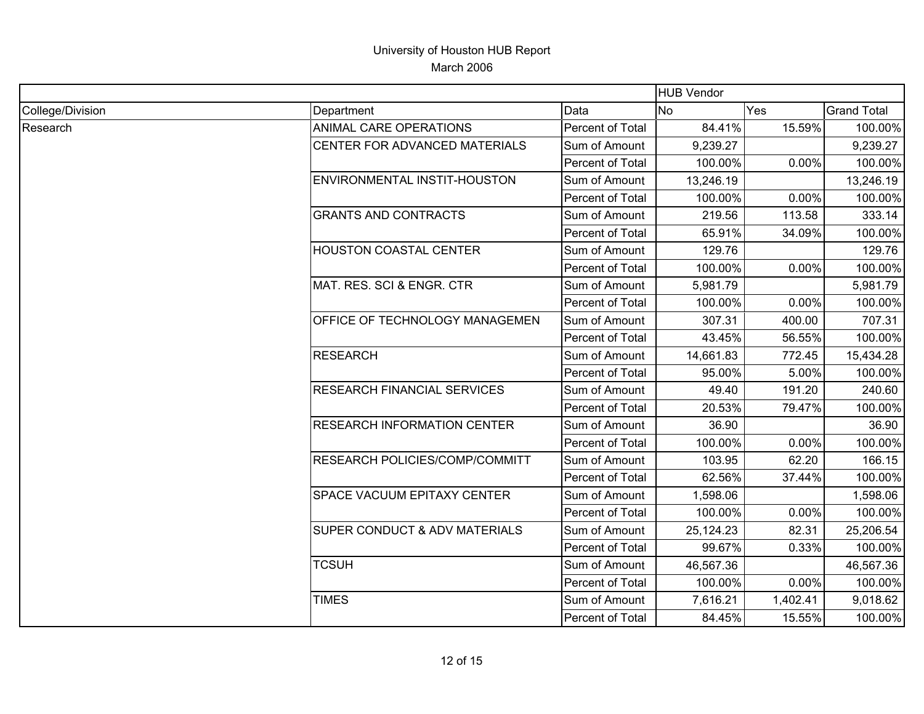|                  |                                    |                         | <b>HUB Vendor</b> |          |                    |
|------------------|------------------------------------|-------------------------|-------------------|----------|--------------------|
| College/Division | Department                         | Data                    | <b>No</b>         | Yes      | <b>Grand Total</b> |
| Research         | <b>ANIMAL CARE OPERATIONS</b>      | <b>Percent of Total</b> | 84.41%            | 15.59%   | 100.00%            |
|                  | CENTER FOR ADVANCED MATERIALS      | Sum of Amount           | 9,239.27          |          | 9,239.27           |
|                  |                                    | Percent of Total        | 100.00%           | 0.00%    | 100.00%            |
|                  | ENVIRONMENTAL INSTIT-HOUSTON       | Sum of Amount           | 13,246.19         |          | 13,246.19          |
|                  |                                    | Percent of Total        | 100.00%           | 0.00%    | 100.00%            |
|                  | <b>GRANTS AND CONTRACTS</b>        | Sum of Amount           | 219.56            | 113.58   | 333.14             |
|                  |                                    | Percent of Total        | 65.91%            | 34.09%   | 100.00%            |
|                  | HOUSTON COASTAL CENTER             | Sum of Amount           | 129.76            |          | 129.76             |
|                  |                                    | Percent of Total        | 100.00%           | 0.00%    | 100.00%            |
|                  | MAT. RES. SCI & ENGR. CTR          | Sum of Amount           | 5,981.79          |          | 5,981.79           |
|                  |                                    | Percent of Total        | 100.00%           | 0.00%    | 100.00%            |
|                  | OFFICE OF TECHNOLOGY MANAGEMEN     | Sum of Amount           | 307.31            | 400.00   | 707.31             |
|                  |                                    | Percent of Total        | 43.45%            | 56.55%   | 100.00%            |
|                  | <b>RESEARCH</b>                    | Sum of Amount           | 14,661.83         | 772.45   | 15,434.28          |
|                  |                                    | Percent of Total        | 95.00%            | 5.00%    | 100.00%            |
|                  | <b>RESEARCH FINANCIAL SERVICES</b> | Sum of Amount           | 49.40             | 191.20   | 240.60             |
|                  |                                    | Percent of Total        | 20.53%            | 79.47%   | 100.00%            |
|                  | <b>RESEARCH INFORMATION CENTER</b> | Sum of Amount           | 36.90             |          | 36.90              |
|                  |                                    | Percent of Total        | 100.00%           | 0.00%    | 100.00%            |
|                  | RESEARCH POLICIES/COMP/COMMITT     | Sum of Amount           | 103.95            | 62.20    | 166.15             |
|                  |                                    | Percent of Total        | 62.56%            | 37.44%   | 100.00%            |
|                  | SPACE VACUUM EPITAXY CENTER        | Sum of Amount           | 1,598.06          |          | 1,598.06           |
|                  |                                    | Percent of Total        | 100.00%           | 0.00%    | 100.00%            |
|                  | SUPER CONDUCT & ADV MATERIALS      | Sum of Amount           | 25,124.23         | 82.31    | 25,206.54          |
|                  |                                    | Percent of Total        | 99.67%            | 0.33%    | 100.00%            |
|                  | <b>TCSUH</b>                       | Sum of Amount           | 46,567.36         |          | 46,567.36          |
|                  |                                    | Percent of Total        | 100.00%           | 0.00%    | 100.00%            |
|                  | <b>TIMES</b>                       | Sum of Amount           | 7,616.21          | 1,402.41 | 9,018.62           |
|                  |                                    | Percent of Total        | 84.45%            | 15.55%   | 100.00%            |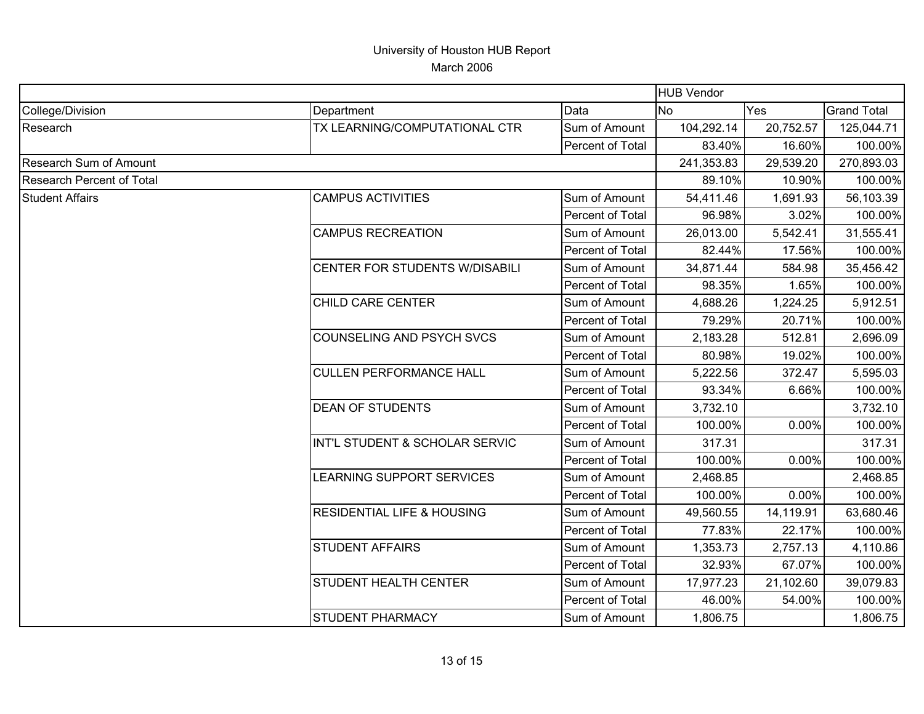|                           |                                       | <b>HUB Vendor</b> |            |           |                    |
|---------------------------|---------------------------------------|-------------------|------------|-----------|--------------------|
| College/Division          | Department                            | Data              | <b>No</b>  | Yes       | <b>Grand Total</b> |
| Research                  | TX LEARNING/COMPUTATIONAL CTR         | Sum of Amount     | 104,292.14 | 20,752.57 | 125,044.71         |
|                           |                                       | Percent of Total  | 83.40%     | 16.60%    | 100.00%            |
| Research Sum of Amount    |                                       |                   | 241,353.83 | 29,539.20 | 270,893.03         |
| Research Percent of Total |                                       | 89.10%            | 10.90%     | 100.00%   |                    |
| <b>Student Affairs</b>    | <b>CAMPUS ACTIVITIES</b>              | Sum of Amount     | 54,411.46  | 1,691.93  | 56,103.39          |
|                           |                                       | Percent of Total  | 96.98%     | 3.02%     | 100.00%            |
|                           | <b>CAMPUS RECREATION</b>              | Sum of Amount     | 26,013.00  | 5,542.41  | 31,555.41          |
|                           |                                       | Percent of Total  | 82.44%     | 17.56%    | 100.00%            |
|                           | CENTER FOR STUDENTS W/DISABILI        | Sum of Amount     | 34,871.44  | 584.98    | 35,456.42          |
|                           |                                       | Percent of Total  | 98.35%     | 1.65%     | 100.00%            |
|                           | CHILD CARE CENTER                     | Sum of Amount     | 4,688.26   | 1,224.25  | 5,912.51           |
|                           |                                       | Percent of Total  | 79.29%     | 20.71%    | 100.00%            |
|                           | COUNSELING AND PSYCH SVCS             | Sum of Amount     | 2,183.28   | 512.81    | 2,696.09           |
|                           |                                       | Percent of Total  | 80.98%     | 19.02%    | 100.00%            |
|                           | <b>CULLEN PERFORMANCE HALL</b>        | Sum of Amount     | 5,222.56   | 372.47    | 5,595.03           |
|                           |                                       | Percent of Total  | 93.34%     | 6.66%     | 100.00%            |
|                           | <b>DEAN OF STUDENTS</b>               | Sum of Amount     | 3,732.10   |           | 3,732.10           |
|                           |                                       | Percent of Total  | 100.00%    | 0.00%     | 100.00%            |
|                           | INT'L STUDENT & SCHOLAR SERVIC        | Sum of Amount     | 317.31     |           | 317.31             |
|                           |                                       | Percent of Total  | 100.00%    | 0.00%     | 100.00%            |
|                           | LEARNING SUPPORT SERVICES             | Sum of Amount     | 2,468.85   |           | 2,468.85           |
|                           |                                       | Percent of Total  | 100.00%    | 0.00%     | 100.00%            |
|                           | <b>RESIDENTIAL LIFE &amp; HOUSING</b> | Sum of Amount     | 49,560.55  | 14,119.91 | 63,680.46          |
|                           |                                       | Percent of Total  | 77.83%     | 22.17%    | 100.00%            |
|                           | <b>STUDENT AFFAIRS</b>                | Sum of Amount     | 1,353.73   | 2,757.13  | 4,110.86           |
|                           |                                       | Percent of Total  | 32.93%     | 67.07%    | 100.00%            |
|                           | <b>STUDENT HEALTH CENTER</b>          | Sum of Amount     | 17,977.23  | 21,102.60 | 39,079.83          |
|                           |                                       | Percent of Total  | 46.00%     | 54.00%    | 100.00%            |
|                           | <b>STUDENT PHARMACY</b>               | Sum of Amount     | 1,806.75   |           | 1,806.75           |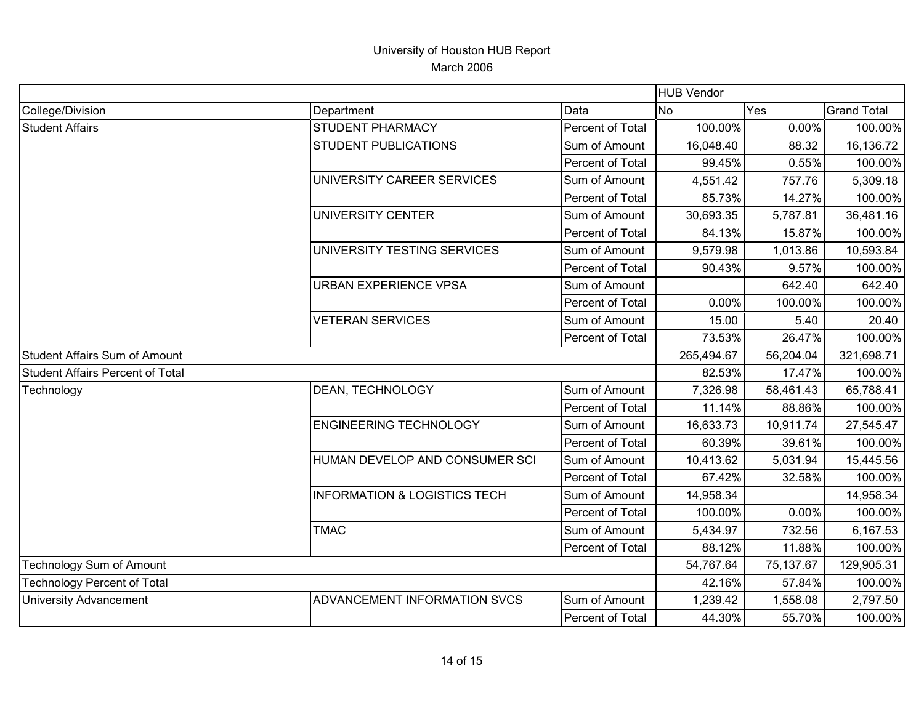|                                      |                                         |                  | <b>HUB Vendor</b> |            |                    |
|--------------------------------------|-----------------------------------------|------------------|-------------------|------------|--------------------|
| College/Division                     | Department                              | Data             | <b>No</b>         | Yes        | <b>Grand Total</b> |
| <b>Student Affairs</b>               | <b>STUDENT PHARMACY</b>                 | Percent of Total | 100.00%           | 0.00%      | 100.00%            |
|                                      | <b>STUDENT PUBLICATIONS</b>             | Sum of Amount    | 16,048.40         | 88.32      | 16,136.72          |
|                                      |                                         | Percent of Total | 99.45%            | 0.55%      | 100.00%            |
|                                      | UNIVERSITY CAREER SERVICES              | Sum of Amount    | 4,551.42          | 757.76     | 5,309.18           |
|                                      |                                         | Percent of Total | 85.73%            | 14.27%     | 100.00%            |
|                                      | <b>UNIVERSITY CENTER</b>                | Sum of Amount    | 30,693.35         | 5,787.81   | 36,481.16          |
|                                      |                                         | Percent of Total | 84.13%            | 15.87%     | 100.00%            |
|                                      | UNIVERSITY TESTING SERVICES             | Sum of Amount    | 9,579.98          | 1,013.86   | 10,593.84          |
|                                      |                                         | Percent of Total | 90.43%            | 9.57%      | 100.00%            |
|                                      | <b>URBAN EXPERIENCE VPSA</b>            | Sum of Amount    |                   | 642.40     | 642.40             |
|                                      |                                         | Percent of Total | 0.00%             | 100.00%    | 100.00%            |
|                                      | <b>VETERAN SERVICES</b>                 | Sum of Amount    | 15.00             | 5.40       | 20.40              |
|                                      |                                         | Percent of Total | 73.53%            | 26.47%     | 100.00%            |
| <b>Student Affairs Sum of Amount</b> |                                         |                  | 265,494.67        | 56,204.04  | 321,698.71         |
| Student Affairs Percent of Total     |                                         |                  | 82.53%            | 17.47%     | 100.00%            |
| Technology                           | DEAN, TECHNOLOGY                        | Sum of Amount    | 7,326.98          | 58,461.43  | 65,788.41          |
|                                      |                                         | Percent of Total | 11.14%            | 88.86%     | 100.00%            |
|                                      | <b>ENGINEERING TECHNOLOGY</b>           | Sum of Amount    | 16,633.73         | 10,911.74  | 27,545.47          |
|                                      |                                         | Percent of Total | 60.39%            | 39.61%     | 100.00%            |
|                                      | HUMAN DEVELOP AND CONSUMER SCI          | Sum of Amount    | 10,413.62         | 5,031.94   | 15,445.56          |
|                                      |                                         | Percent of Total | 67.42%            | 32.58%     | 100.00%            |
|                                      | <b>INFORMATION &amp; LOGISTICS TECH</b> | Sum of Amount    | 14,958.34         |            | 14,958.34          |
|                                      |                                         | Percent of Total | 100.00%           | 0.00%      | 100.00%            |
|                                      | <b>TMAC</b>                             | Sum of Amount    | 5,434.97          | 732.56     | 6,167.53           |
|                                      |                                         | Percent of Total | 88.12%            | 11.88%     | 100.00%            |
| Technology Sum of Amount             |                                         | 54,767.64        | 75,137.67         | 129,905.31 |                    |
| <b>Technology Percent of Total</b>   |                                         | 42.16%           | 57.84%            | 100.00%    |                    |
| <b>University Advancement</b>        | ADVANCEMENT INFORMATION SVCS            | Sum of Amount    | 1,239.42          | 1,558.08   | 2,797.50           |
|                                      |                                         | Percent of Total | 44.30%            | 55.70%     | 100.00%            |